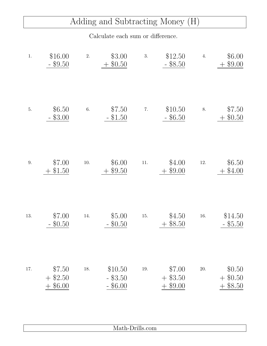## Adding and Subtracting Money (H)

Calculate each sum or difference.

| $1.$ | \$16.00<br>$-$ \$9.50                 | 2.       | \$3.00<br>$+$ \$0.50                | 3.       | \$12.50<br>$-$ \$8.50                 | 4.       | \$6.00<br>$+$ \$9.00           |
|------|---------------------------------------|----------|-------------------------------------|----------|---------------------------------------|----------|--------------------------------|
| $5.$ | \$6.50<br>\$3.00                      | $6. \,$  | \$7.50<br>$-$ \$1.50                | 7.       | \$10.50<br>$-$ \$6.50                 | 8.       | \$7.50<br>\$0.50               |
| 9.   | \$7.00<br>\$1.50<br>$+$               | $10. \,$ | \$6.00<br>\$9.50                    | $11. \,$ | \$4.00<br>\$9.00                      | $12. \,$ | \$6.50<br>\$4.00               |
| 13.  | \$7.00<br>\$0.50                      | 14.      | \$5.00<br>$-$ \$0.50                | 15.      | \$4.50<br>$+$ \$8.50                  | 16.      | \$14.50<br>$-$ \$5.50          |
| 17.  | \$7.50<br>$+$ \$2.50<br>\$6.00<br>$+$ | 18.      | \$10.50<br>$-$ \$3.50<br>$-$ \$6.00 | 19.      | \$7.00<br>$+$ \$3.50<br>\$9.00<br>$+$ | 20.      | \$0.50<br>$+$ \$0.50<br>\$8.50 |